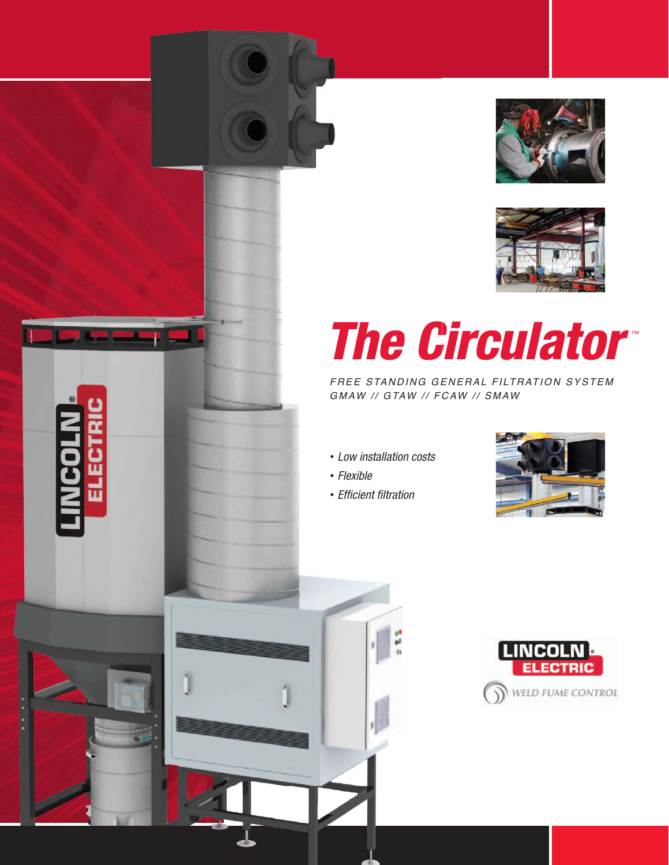



# **The Circulator™**

FREE STANDING GENERAL FILTRATION SYSTEM GMAW // GTAW // FCAW // SMAW

Low installation costs

 $\frac{1}{2}$ 

- Flexible
- Efficient filtration



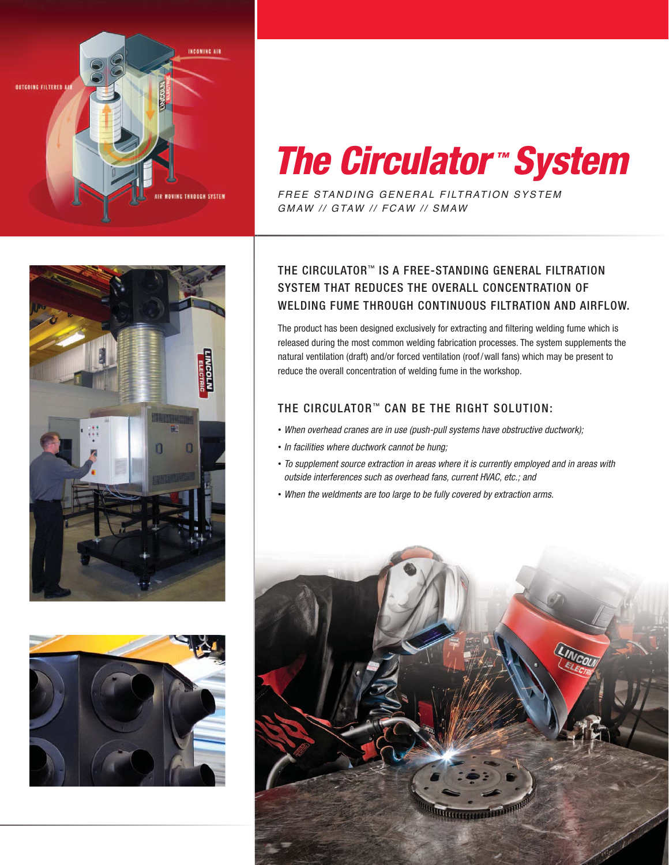

## *The Circulator ™ System*

FREE STANDING GENERAL FILTRATION SYSTEM GMAW // GTAW // FCAW // SMAW





## THE CIRCULATOR™ IS A FREE-STANDING GENERAL FILTRATION SYSTEM THAT REDUCES THE OVERALL CONCENTRATION OF WELDING FUME THROUGH CONTINUOUS FILTRATION AND AIRFLOW.

The product has been designed exclusively for extracting and filtering welding fume which is released during the most common welding fabrication processes. The system supplements the natural ventilation (draft) and/or forced ventilation (roof/wall fans) which may be present to reduce the overall concentration of welding fume in the workshop.

## THE CIRCULATOR<sup>™</sup> CAN BE THE RIGHT SOLUTION:

- When overhead cranes are in use (push-pull systems have obstructive ductwork);
- In facilities where ductwork cannot be hung;
- To supplement source extraction in areas where it is currently employed and in areas with outside interferences such as overhead fans, current HVAC, etc.; and
- When the weldments are too large to be fully covered by extraction arms.

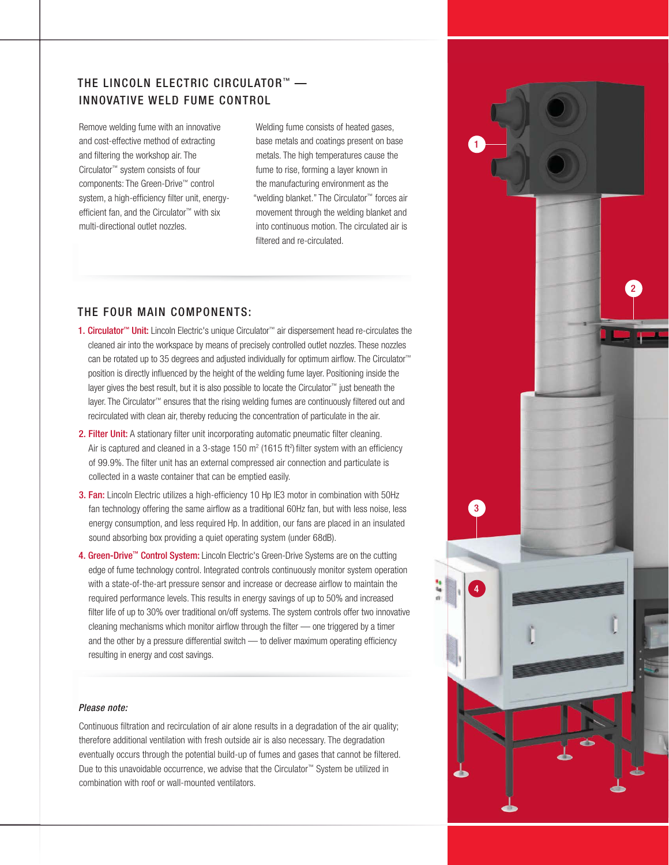## THE LINCOLN ELECTRIC CIRCULATOR™ -INNOVATIVE WELD FUME CONTROL

Remove welding fume with an innovative and cost-effective method of extracting and filtering the workshop air. The Circulator™ system consists of four components: The Green-Drive™ control system, a high-efficiency filter unit, energyefficient fan, and the Circulator™ with six multi-directional outlet nozzles.

Welding fume consists of heated gases, base metals and coatings present on base metals. The high temperatures cause the fume to rise, forming a layer known in the manufacturing environment as the "welding blanket." The Circulator™ forces air movement through the welding blanket and into continuous motion. The circulated air is filtered and re-circulated.

### THE FOUR MAIN COMPONENTS:

- 1. Circulator<sup>™</sup> Unit: Lincoln Electric's unique Circulator<sup>™</sup> air dispersement head re-circulates the cleaned air into the workspace by means of precisely controlled outlet nozzles. These nozzles can be rotated up to 35 degrees and adjusted individually for optimum airflow. The Circulator™ position is directly influenced by the height of the welding fume layer. Positioning inside the layer gives the best result, but it is also possible to locate the Circulator™ just beneath the layer. The Circulator™ ensures that the rising welding fumes are continuously filtered out and recirculated with clean air, thereby reducing the concentration of particulate in the air.
- 2. Filter Unit: A stationary filter unit incorporating automatic pneumatic filter cleaning. Air is captured and cleaned in a 3-stage 150  $m^2$  (1615 ft<sup>2</sup>) filter system with an efficiency of 99.9%. The filter unit has an external compressed air connection and particulate is collected in a waste container that can be emptied easily.
- 3. Fan: Lincoln Electric utilizes a high-efficiency 10 Hp IE3 motor in combination with 50Hz fan technology offering the same airflow as a traditional 60Hz fan, but with less noise, less energy consumption, and less required Hp. In addition, our fans are placed in an insulated sound absorbing box providing a quiet operating system (under 68dB).
- 4. Green-Drive™ Control System: Lincoln Electric's Green-Drive Systems are on the cutting edge of fume technology control. Integrated controls continuously monitor system operation with a state-of-the-art pressure sensor and increase or decrease airflow to maintain the required performance levels. This results in energy savings of up to 50% and increased filter life of up to 30% over traditional on/off systems. The system controls offer two innovative cleaning mechanisms which monitor airflow through the filter — one triggered by a timer and the other by a pressure differential switch — to deliver maximum operating efficiency resulting in energy and cost savings.

#### Please note:

Continuous filtration and recirculation of air alone results in a degradation of the air quality; therefore additional ventilation with fresh outside air is also necessary. The degradation eventually occurs through the potential build-up of fumes and gases that cannot be filtered. Due to this unavoidable occurrence, we advise that the Circulator™ System be utilized in combination with roof or wall-mounted ventilators.